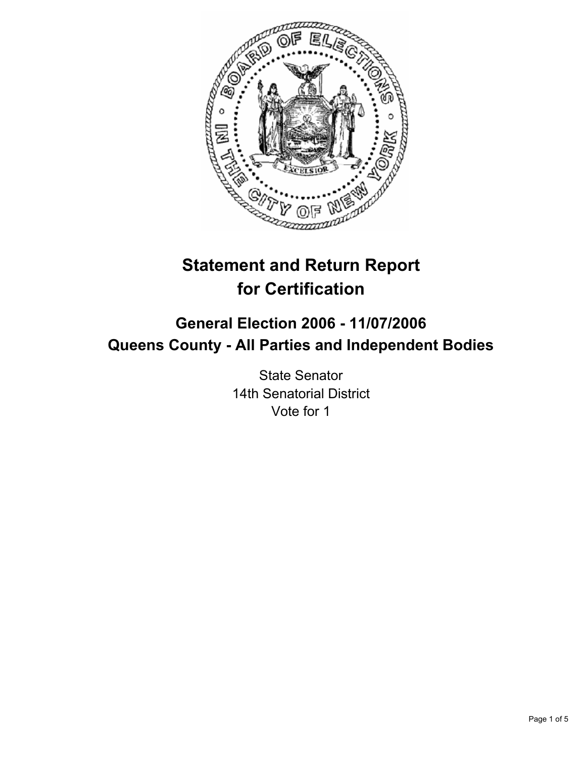

# **Statement and Return Report for Certification**

## **General Election 2006 - 11/07/2006 Queens County - All Parties and Independent Bodies**

State Senator 14th Senatorial District Vote for 1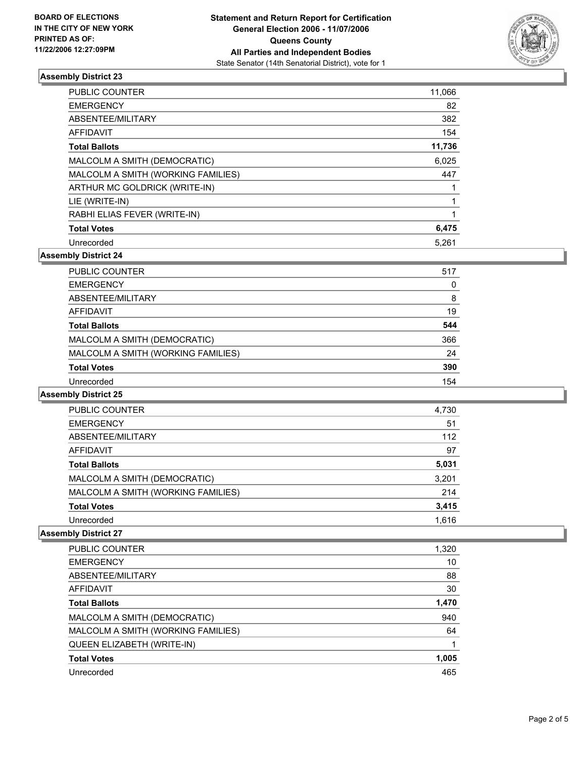

#### **Assembly District 23**

| <b>PUBLIC COUNTER</b>              | 11,066 |
|------------------------------------|--------|
| <b>EMERGENCY</b>                   | 82     |
| ABSENTEE/MILITARY                  | 382    |
| <b>AFFIDAVIT</b>                   | 154    |
| <b>Total Ballots</b>               | 11,736 |
| MALCOLM A SMITH (DEMOCRATIC)       | 6,025  |
| MALCOLM A SMITH (WORKING FAMILIES) | 447    |
| ARTHUR MC GOLDRICK (WRITE-IN)      |        |
| LIE (WRITE-IN)                     |        |
| RABHI ELIAS FEVER (WRITE-IN)       |        |
| <b>Total Votes</b>                 | 6,475  |
| Unrecorded                         | 5,261  |

**Assembly District 24**

| 517 |
|-----|
| 0   |
| 8   |
| 19  |
| 544 |
| 366 |
| 24  |
| 390 |
| 154 |
|     |

#### **Assembly District 25**

| PUBLIC COUNTER                     | 4,730 |
|------------------------------------|-------|
| <b>EMERGENCY</b>                   | 51    |
| ABSENTEE/MILITARY                  | 112   |
| AFFIDAVIT                          | 97    |
| <b>Total Ballots</b>               | 5,031 |
| MALCOLM A SMITH (DEMOCRATIC)       | 3,201 |
| MALCOLM A SMITH (WORKING FAMILIES) | 214   |
| <b>Total Votes</b>                 | 3,415 |
| Unrecorded                         | 1,616 |

#### **Assembly District 27**

| <b>PUBLIC COUNTER</b>              | 1,320 |
|------------------------------------|-------|
| <b>EMERGENCY</b>                   | 10    |
| ABSENTEE/MILITARY                  | 88    |
| AFFIDAVIT                          | 30    |
| <b>Total Ballots</b>               | 1,470 |
| MALCOLM A SMITH (DEMOCRATIC)       | 940   |
| MALCOLM A SMITH (WORKING FAMILIES) | 64    |
| QUEEN ELIZABETH (WRITE-IN)         |       |
| <b>Total Votes</b>                 | 1,005 |
| Unrecorded                         | 465   |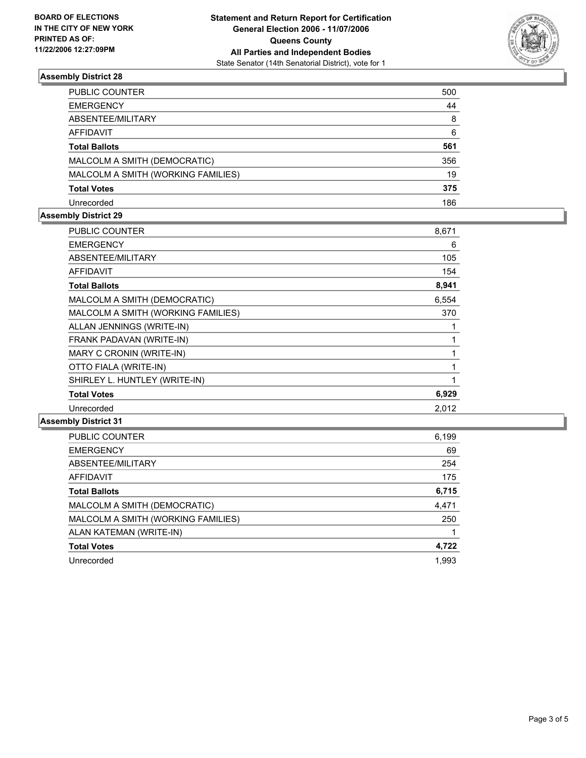

#### **Assembly District 28**

| PUBLIC COUNTER                     | 500 |
|------------------------------------|-----|
| <b>EMERGENCY</b>                   | 44  |
| ABSENTEE/MILITARY                  | 8   |
| AFFIDAVIT                          | 6   |
| <b>Total Ballots</b>               | 561 |
| MALCOLM A SMITH (DEMOCRATIC)       | 356 |
| MALCOLM A SMITH (WORKING FAMILIES) | 19  |
| <b>Total Votes</b>                 | 375 |
| Unrecorded                         | 186 |

#### **Assembly District 29**

| <b>PUBLIC COUNTER</b>              | 8,671 |  |
|------------------------------------|-------|--|
| <b>EMERGENCY</b>                   | 6     |  |
| ABSENTEE/MILITARY                  | 105   |  |
| <b>AFFIDAVIT</b>                   | 154   |  |
| <b>Total Ballots</b>               | 8,941 |  |
| MALCOLM A SMITH (DEMOCRATIC)       | 6,554 |  |
| MALCOLM A SMITH (WORKING FAMILIES) | 370   |  |
| ALLAN JENNINGS (WRITE-IN)          |       |  |
| FRANK PADAVAN (WRITE-IN)           |       |  |
| MARY C CRONIN (WRITE-IN)           |       |  |
| OTTO FIALA (WRITE-IN)              |       |  |
| SHIRLEY L. HUNTLEY (WRITE-IN)      |       |  |
| <b>Total Votes</b>                 | 6,929 |  |
| Unrecorded                         | 2,012 |  |

#### **Assembly District 31**

| PUBLIC COUNTER                     | 6,199 |
|------------------------------------|-------|
| <b>EMERGENCY</b>                   | 69    |
| ABSENTEE/MILITARY                  | 254   |
| AFFIDAVIT                          | 175   |
| <b>Total Ballots</b>               | 6,715 |
| MALCOLM A SMITH (DEMOCRATIC)       | 4,471 |
| MALCOLM A SMITH (WORKING FAMILIES) | 250   |
| ALAN KATEMAN (WRITE-IN)            |       |
| <b>Total Votes</b>                 | 4,722 |
| Unrecorded                         | 1,993 |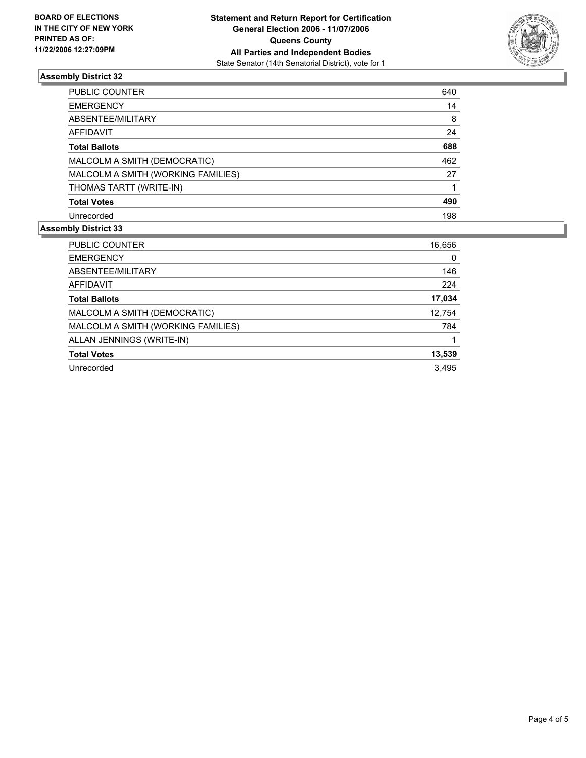

### **Assembly District 32**

| PUBLIC COUNTER                     | 640 |
|------------------------------------|-----|
| <b>EMERGENCY</b>                   | 14  |
| ABSENTEE/MILITARY                  | 8   |
| AFFIDAVIT                          | 24  |
| <b>Total Ballots</b>               | 688 |
| MALCOLM A SMITH (DEMOCRATIC)       | 462 |
| MALCOLM A SMITH (WORKING FAMILIES) | 27  |
| THOMAS TARTT (WRITE-IN)            |     |
| <b>Total Votes</b>                 | 490 |
| Unrecorded                         | 198 |

#### **Assembly District 33**

| PUBLIC COUNTER                     | 16,656 |
|------------------------------------|--------|
| <b>EMERGENCY</b>                   | 0      |
| ABSENTEE/MILITARY                  | 146    |
| AFFIDAVIT                          | 224    |
| <b>Total Ballots</b>               | 17,034 |
| MALCOLM A SMITH (DEMOCRATIC)       | 12,754 |
| MALCOLM A SMITH (WORKING FAMILIES) | 784    |
| ALLAN JENNINGS (WRITE-IN)          |        |
| <b>Total Votes</b>                 | 13,539 |
| Unrecorded                         | 3.495  |